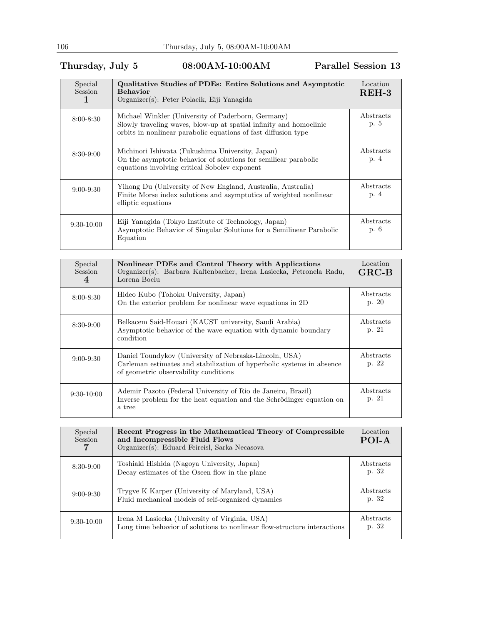## Thursday, July 5 08:00AM-10:00AM Parallel Session 13

| Special<br>Session | Qualitative Studies of PDEs: Entire Solutions and Asymptotic<br><b>Behavior</b><br>Organizer(s): Peter Polacik, Eiji Yanagida                                                              | Location<br>$REH-3$ |
|--------------------|--------------------------------------------------------------------------------------------------------------------------------------------------------------------------------------------|---------------------|
| $8:00 - 8:30$      | Michael Winkler (University of Paderborn, Germany)<br>Slowly traveling waves, blow-up at spatial infinity and homoclinic<br>orbits in nonlinear parabolic equations of fast diffusion type | Abstracts<br>p. 5   |
| $8:30-9:00$        | Michinori Ishiwata (Fukushima University, Japan)<br>On the asymptotic behavior of solutions for semiliear parabolic<br>equations involving critical Sobolev exponent                       | Abstracts<br>p. 4   |
| $9:00 - 9:30$      | Yihong Du (University of New England, Australia, Australia)<br>Finite Morse index solutions and asymptotics of weighted nonlinear<br>elliptic equations                                    | Abstracts<br>p. 4   |
| $9:30-10:00$       | Eiji Yanagida (Tokyo Institute of Technology, Japan)<br>Asymptotic Behavior of Singular Solutions for a Semilinear Parabolic<br>Equation                                                   | Abstracts<br>p. 6   |

| Special<br><b>Session</b><br>4 | Nonlinear PDEs and Control Theory with Applications<br>Organizer(s): Barbara Kaltenbacher, Irena Lasiecka, Petronela Radu,<br>Lorena Bociu                               | Location<br>$GRC-B$ |
|--------------------------------|--------------------------------------------------------------------------------------------------------------------------------------------------------------------------|---------------------|
| $8:00 - 8:30$                  | Hideo Kubo (Tohoku University, Japan)<br>On the exterior problem for nonlinear wave equations in 2D                                                                      | Abstracts<br>p. 20  |
| $8:30-9:00$                    | Belkacem Said-Houari (KAUST university, Saudi Arabia)<br>Asymptotic behavior of the wave equation with dynamic boundary<br>condition                                     | Abstracts<br>p. 21  |
| $9:00 - 9:30$                  | Daniel Toundykov (University of Nebraska-Lincoln, USA)<br>Carleman estimates and stabilization of hyperbolic systems in absence<br>of geometric observability conditions | Abstracts<br>p. 22  |
| $9:30-10:00$                   | Ademir Pazoto (Federal University of Rio de Janeiro, Brazil)<br>Inverse problem for the heat equation and the Schrödinger equation on<br>a tree                          | Abstracts<br>p. 21  |

| Special<br>Session | Recent Progress in the Mathematical Theory of Compressible<br>and Incompressible Fluid Flows<br>Organizer(s): Eduard Feireisl, Sarka Necasova | Location<br>POI-A  |
|--------------------|-----------------------------------------------------------------------------------------------------------------------------------------------|--------------------|
| $8:30-9:00$        | Toshiaki Hishida (Nagoya University, Japan)<br>Decay estimates of the Oseen flow in the plane                                                 | Abstracts<br>p. 32 |
| $9:00 - 9:30$      | Trygve K Karper (University of Maryland, USA)<br>Fluid mechanical models of self-organized dynamics                                           | Abstracts<br>p. 32 |
| $9:30-10:00$       | Irena M Lasiecka (University of Virginia, USA)<br>Long time behavior of solutions to nonlinear flow-structure interactions                    | Abstracts<br>p. 32 |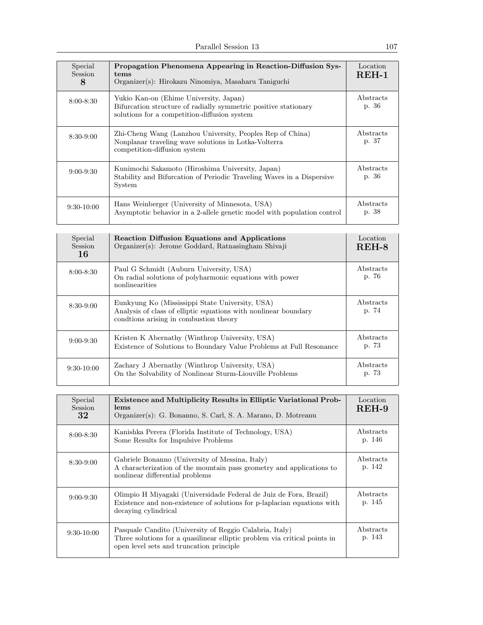| Special<br>Session<br>8 | Propagation Phenomena Appearing in Reaction-Diffusion Sys-<br>tems<br>Organizer(s): Hirokazu Ninomiya, Masaharu Taniguchi                                 | Location<br>$REH-1$ |
|-------------------------|-----------------------------------------------------------------------------------------------------------------------------------------------------------|---------------------|
| $8:00 - 8:30$           | Yukio Kan-on (Ehime University, Japan)<br>Bifurcation structure of radially symmetric positive stationary<br>solutions for a competition-diffusion system | Abstracts<br>p. 36  |
| $8:30-9:00$             | Zhi-Cheng Wang (Lanzhou University, Peoples Rep of China)<br>Nonplanar traveling wave solutions in Lotka-Volterra<br>competition-diffusion system         | Abstracts<br>p. 37  |
| $9:00 - 9:30$           | Kunimochi Sakamoto (Hiroshima University, Japan)<br>Stability and Bifurcation of Periodic Traveling Waves in a Dispersive<br>System                       | Abstracts<br>p. 36  |
| $9:30-10:00$            | Hans Weinberger (University of Minnesota, USA)<br>Asymptotic behavior in a 2-allele genetic model with population control                                 | Abstracts<br>p. 38  |

| Special<br>Session<br>16 | <b>Reaction Diffusion Equations and Applications</b><br>Organizer(s): Jerome Goddard, Ratnasingham Shivaji                                                   | Location<br>$REH-8$ |
|--------------------------|--------------------------------------------------------------------------------------------------------------------------------------------------------------|---------------------|
| $8:00 - 8:30$            | Paul G Schmidt (Auburn University, USA)<br>On radial solutions of polyharmonic equations with power<br>nonlinearities                                        | Abstracts<br>p. 76  |
| $8:30-9:00$              | Eunkyung Ko (Mississippi State University, USA)<br>Analysis of class of elliptic equations with nonlinear boundary<br>condtions arising in combustion theory | Abstracts<br>p. 74  |
| $9:00 - 9:30$            | Kristen K Abernathy (Winthrop University, USA)<br>Existence of Solutions to Boundary Value Problems at Full Resonance                                        | Abstracts<br>p. 73  |
| $9:30-10:00$             | Zachary J Abernathy (Winthrop University, USA)<br>On the Solvability of Nonlinear Sturm-Liouville Problems                                                   | Abstracts<br>p. 73  |

| Special<br><b>Session</b><br>32 | <b>Existence and Multiplicity Results in Elliptic Variational Prob-</b><br>lems<br>Organizer(s): G. Bonanno, S. Carl, S. A. Marano, D. Motreanu                                  | Location<br>$REH-9$ |
|---------------------------------|----------------------------------------------------------------------------------------------------------------------------------------------------------------------------------|---------------------|
| $8:00 - 8:30$                   | Kanishka Perera (Florida Institute of Technology, USA)<br>Some Results for Impulsive Problems                                                                                    | Abstracts<br>p. 146 |
| $8:30-9:00$                     | Gabriele Bonanno (University of Messina, Italy)<br>A characterization of the mountain pass geometry and applications to<br>nonlinear differential problems                       | Abstracts<br>p. 142 |
| $9:00 - 9:30$                   | Olimpio H Miyagaki (Universidade Federal de Juiz de Fora, Brazil)<br>Existence and non-existence of solutions for p-laplacian equations with<br>decaying cylindrical             | Abstracts<br>p. 145 |
| $9:30-10:00$                    | Pasquale Candito (University of Reggio Calabria, Italy)<br>Three solutions for a quasilinear elliptic problem via critical points in<br>open level sets and truncation principle | Abstracts<br>p. 143 |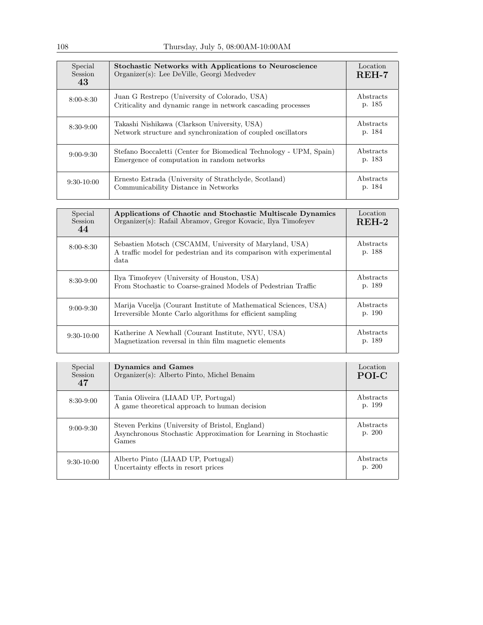| Special<br>Session<br>43 | <b>Stochastic Networks with Applications to Neuroscience</b><br>Organizer(s): Lee DeVille, Georgi Medvedev        | Location<br>$REH-7$ |
|--------------------------|-------------------------------------------------------------------------------------------------------------------|---------------------|
| $8:00 - 8:30$            | Juan G Restrepo (University of Colorado, USA)<br>Criticality and dynamic range in network cascading processes     | Abstracts<br>p. 185 |
| $8:30-9:00$              | Takashi Nishikawa (Clarkson University, USA)<br>Network structure and synchronization of coupled oscillators      | Abstracts<br>p. 184 |
| $9:00 - 9:30$            | Stefano Boccaletti (Center for Biomedical Technology - UPM, Spain)<br>Emergence of computation in random networks | Abstracts<br>p. 183 |
| $9:30-10:00$             | Ernesto Estrada (University of Strathclyde, Scotland)<br>Communicability Distance in Networks                     | Abstracts<br>p. 184 |

| Special<br><b>Session</b><br>44 | Applications of Chaotic and Stochastic Multiscale Dynamics<br>Organizer(s): Rafail Abramov, Gregor Kovacic, Ilya Timofeyev             | Location<br>$REH-2$ |
|---------------------------------|----------------------------------------------------------------------------------------------------------------------------------------|---------------------|
| $8:00 - 8:30$                   | Sebastien Motsch (CSCAMM, University of Maryland, USA)<br>A traffic model for pedestrian and its comparison with experimental<br>data. | Abstracts<br>p. 188 |
| $8:30-9:00$                     | Ilya Timofeyev (University of Houston, USA)<br>From Stochastic to Coarse-grained Models of Pedestrian Traffic                          | Abstracts<br>p. 189 |
| $9:00 - 9:30$                   | Marija Vucelja (Courant Institute of Mathematical Sciences, USA)<br>Irreversible Monte Carlo algorithms for efficient sampling         | Abstracts<br>p. 190 |
| $9:30-10:00$                    | Katherine A Newhall (Courant Institute, NYU, USA)<br>Magnetization reversal in thin film magnetic elements                             | Abstracts<br>p. 189 |

| Special<br>Session<br>47 | <b>Dynamics and Games</b><br>Organizer(s): Alberto Pinto, Michel Benaim                                                      | Location<br>POI-C   |
|--------------------------|------------------------------------------------------------------------------------------------------------------------------|---------------------|
| $8:30-9:00$              | Tania Oliveira (LIAAD UP, Portugal)<br>A game theoretical approach to human decision                                         | Abstracts<br>p. 199 |
| $9:00 - 9:30$            | Steven Perkins (University of Bristol, England)<br>Asynchronous Stochastic Approximation for Learning in Stochastic<br>Games | Abstracts<br>p. 200 |
| $9:30-10:00$             | Alberto Pinto (LIAAD UP, Portugal)<br>Uncertainty effects in resort prices                                                   | Abstracts<br>p. 200 |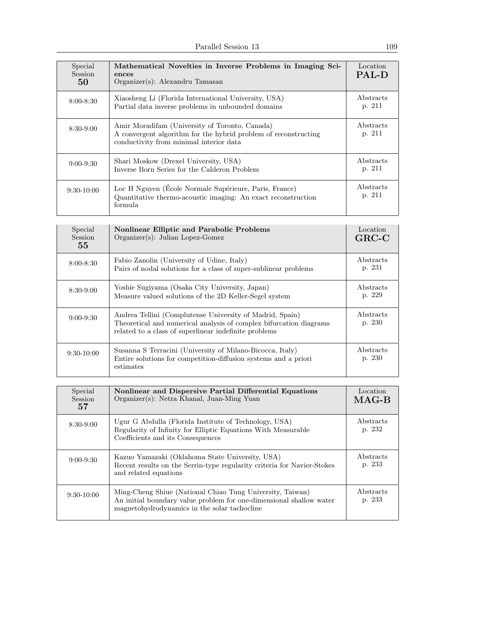Parallel Session 13 109

| Special<br><b>Session</b><br>50 | Mathematical Novelties in Inverse Problems in Imaging Sci-<br>ences<br>Organizer(s): Alexandru Tamasan                                                       | Location<br><b>PAL-D</b> |
|---------------------------------|--------------------------------------------------------------------------------------------------------------------------------------------------------------|--------------------------|
| $8:00 - 8:30$                   | Xiaosheng Li (Florida International University, USA)<br>Partial data inverse problems in unbounded domains                                                   | Abstracts<br>p. 211      |
| $8:30-9:00$                     | Amir Moradifam (University of Toronto, Canada)<br>A convergent algorithm for the hybrid problem of reconstructing<br>conductivity from minimal interior data | Abstracts<br>p. 211      |
| $9:00 - 9:30$                   | Shari Moskow (Drexel University, USA)<br>Inverse Born Series for the Calderon Problem                                                                        | Abstracts<br>p. 211      |
| $9:30-10:00$                    | Loc H Nguyen (École Normale Supérieure, Paris, France)<br>Quantitative thermo-acoustic imaging: An exact reconstruction<br>formula.                          | Abstracts<br>p. 211      |

| Special<br><b>Session</b><br>55 | <b>Nonlinear Elliptic and Parabolic Problems</b><br>$Organizer(s)$ : Julian Lopez-Gomez                                                                                                 | Location<br>$GRC-C$ |
|---------------------------------|-----------------------------------------------------------------------------------------------------------------------------------------------------------------------------------------|---------------------|
| $8:00 - 8:30$                   | Fabio Zanolin (University of Udine, Italy)<br>Pairs of nodal solutions for a class of super-sublinear problems                                                                          | Abstracts<br>p. 231 |
| $8:30-9:00$                     | Yoshie Sugiyama (Osaka City University, Japan)<br>Measure valued solutions of the 2D Keller-Segel system                                                                                | Abstracts<br>p. 229 |
| $9:00 - 9:30$                   | Andrea Tellini (Complutense University of Madrid, Spain)<br>Theoretical and numerical analysis of complex bifurcation diagrams<br>related to a class of superlinear indefinite problems | Abstracts<br>p. 230 |
| $9:30-10:00$                    | Susanna S Terracini (University of Milano-Bicocca, Italy)<br>Entire solutions for competition-diffusion systems and a priori<br>estimates                                               | Abstracts<br>p. 230 |

| Special<br><b>Session</b><br>57 | Nonlinear and Dispersive Partial Differential Equations<br>Organizer(s): Netra Khanal, Juan-Ming Yuan                                                                            | Location<br>$MAG-B$ |
|---------------------------------|----------------------------------------------------------------------------------------------------------------------------------------------------------------------------------|---------------------|
| $8:30-9:00$                     | Ugur G Abdulla (Florida Institute of Technology, USA)<br>Regularity of Infinity for Elliptic Equations With Measurable<br>Coefficients and its Consequences                      | Abstracts<br>p. 232 |
| $9:00 - 9:30$                   | Kazuo Yamazaki (Oklahoma State University, USA)<br>Recent results on the Serrin-type regularity criteria for Navier-Stokes<br>and related equations                              | Abstracts<br>p. 233 |
| $9:30-10:00$                    | Ming-Cheng Shiue (National Chiao Tung University, Taiwan)<br>An initial boundary value problem for one-dimensional shallow water<br>magnetohydrodynamics in the solar tachocline | Abstracts<br>p. 233 |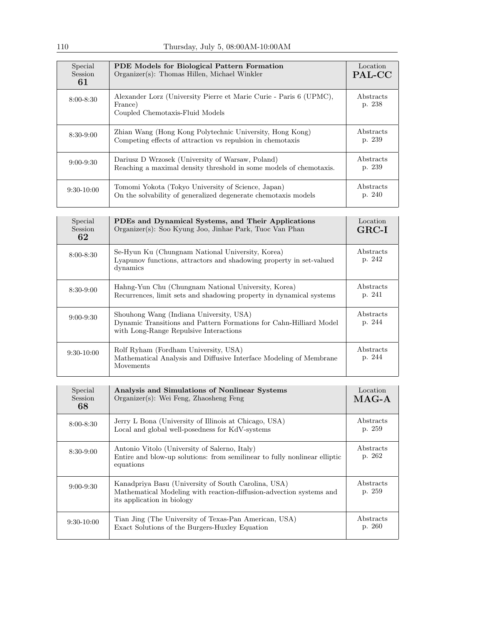| Special<br>Session<br>61 | <b>PDE</b> Models for Biological Pattern Formation<br>Organizer(s): Thomas Hillen, Michael Winkler                     | Location<br>PAL-CC  |
|--------------------------|------------------------------------------------------------------------------------------------------------------------|---------------------|
| $8:00 - 8:30$            | Alexander Lorz (University Pierre et Marie Curie - Paris 6 (UPMC),<br>France)<br>Coupled Chemotaxis-Fluid Models       | Abstracts<br>p. 238 |
| $8:30-9:00$              | Zhian Wang (Hong Kong Polytechnic University, Hong Kong)<br>Competing effects of attraction vs repulsion in chemotaxis | Abstracts<br>p. 239 |
| $9:00 - 9:30$            | Dariusz D Wrzosek (University of Warsaw, Poland)<br>Reaching a maximal density threshold in some models of chemotaxis. | Abstracts<br>p. 239 |
| $9:30-10:00$             | Tomomi Yokota (Tokyo University of Science, Japan)<br>On the solvability of generalized degenerate chemotaxis models   | Abstracts<br>p. 240 |

| Special<br><b>Session</b><br>62 | PDEs and Dynamical Systems, and Their Applications<br>Organizer(s): Soo Kyung Joo, Jinhae Park, Tuoc Van Phan                                           | Location<br>$GRC-I$ |
|---------------------------------|---------------------------------------------------------------------------------------------------------------------------------------------------------|---------------------|
| $8:00 - 8:30$                   | Se-Hyun Ku (Chungnam National University, Korea)<br>Lyapunov functions, attractors and shadowing property in set-valued<br>dynamics                     | Abstracts<br>p. 242 |
| $8:30-9:00$                     | Hahng-Yun Chu (Chungnam National University, Korea)<br>Recurrences, limit sets and shadowing property in dynamical systems                              | Abstracts<br>p. 241 |
| $9:00 - 9:30$                   | Shouhong Wang (Indiana University, USA)<br>Dynamic Transitions and Pattern Formations for Cahn-Hilliard Model<br>with Long-Range Repulsive Interactions | Abstracts<br>p. 244 |
| $9:30-10:00$                    | Rolf Ryham (Fordham University, USA)<br>Mathematical Analysis and Diffusive Interface Modeling of Membrane<br>Movements                                 | Abstracts<br>p. 244 |

| Special<br>Session<br>68 | Analysis and Simulations of Nonlinear Systems<br>$Organizer(s)$ : Wei Feng, Zhaosheng Feng                                                               | Location<br>$MAG-A$ |
|--------------------------|----------------------------------------------------------------------------------------------------------------------------------------------------------|---------------------|
| $8:00 - 8:30$            | Jerry L Bona (University of Illinois at Chicago, USA)<br>Local and global well-posedness for KdV-systems                                                 | Abstracts<br>p. 259 |
| $8:30-9:00$              | Antonio Vitolo (University of Salerno, Italy)<br>Entire and blow-up solutions: from semilinear to fully nonlinear elliptic<br>equations                  | Abstracts<br>p. 262 |
| $9:00 - 9:30$            | Kanadpriya Basu (University of South Carolina, USA)<br>Mathematical Modeling with reaction-diffusion-advection systems and<br>its application in biology | Abstracts<br>p. 259 |
| $9:30-10:00$             | Tian Jing (The University of Texas-Pan American, USA)<br>Exact Solutions of the Burgers-Huxley Equation                                                  | Abstracts<br>p. 260 |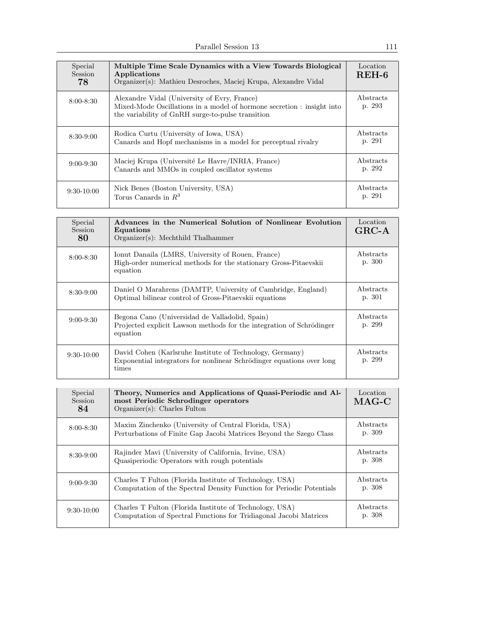| Special<br>Session<br>78 | Multiple Time Scale Dynamics with a View Towards Biological<br>Applications<br>Organizer(s): Mathieu Desroches, Maciej Krupa, Alexandre Vidal                               | Location<br>$REH-6$ |
|--------------------------|-----------------------------------------------------------------------------------------------------------------------------------------------------------------------------|---------------------|
| $8:00 - 8:30$            | Alexandre Vidal (University of Evry, France)<br>Mixed-Mode Oscillations in a model of hormone secretion : insight into<br>the variability of GnRH surge-to-pulse transition | Abstracts<br>p. 293 |
| $8:30-9:00$              | Rodica Curtu (University of Iowa, USA)<br>Canards and Hopf mechanisms in a model for perceptual rivalry                                                                     | Abstracts<br>p. 291 |
| $9:00 - 9:30$            | Maciej Krupa (Université Le Havre/INRIA, France)<br>Canards and MMOs in coupled oscillator systems                                                                          | Abstracts<br>p. 292 |
| $9:30-10:00$             | Nick Benes (Boston University, USA)<br>Torus Canards in $R^3$                                                                                                               | Abstracts<br>p. 291 |

| Special<br><b>Session</b><br>80 | Advances in the Numerical Solution of Nonlinear Evolution<br>Equations<br>$Organizer(s)$ : Mechthild Thalhammer                            | Location<br>$GRC-A$ |
|---------------------------------|--------------------------------------------------------------------------------------------------------------------------------------------|---------------------|
| $8:00 - 8:30$                   | Ionut Danaila (LMRS, University of Rouen, France)<br>High-order numerical methods for the stationary Gross-Pitaevskii<br>equation          | Abstracts<br>p. 300 |
| $8:30-9:00$                     | Daniel O Marahrens (DAMTP, University of Cambridge, England)<br>Optimal bilinear control of Gross-Pitaevskii equations                     | Abstracts<br>p. 301 |
| $9:00 - 9:30$                   | Begona Cano (Universidad de Valladolid, Spain)<br>Projected explicit Lawson methods for the integration of Schrödinger<br>equation         | Abstracts<br>p. 299 |
| $9:30-10:00$                    | David Cohen (Karlsruhe Institute of Technology, Germany)<br>Exponential integrators for nonlinear Schrödinger equations over long<br>times | Abstracts<br>p. 299 |

| Special<br>Session<br>84 | Theory, Numerics and Applications of Quasi-Periodic and Al-<br>most Periodic Schrodinger operators<br>$Organizer(s): Charles$ Fulton | Location<br>$MAG-C$ |
|--------------------------|--------------------------------------------------------------------------------------------------------------------------------------|---------------------|
| $8:00 - 8:30$            | Maxim Zinchenko (University of Central Florida, USA)<br>Perturbations of Finite Gap Jacobi Matrices Beyond the Szego Class           | Abstracts<br>p. 309 |
| $8:30-9:00$              | Rajinder Mavi (University of California, Irvine, USA)<br>Quasiperiodic Operators with rough potentials                               | Abstracts<br>p. 308 |
| $9:00 - 9:30$            | Charles T Fulton (Florida Institute of Technology, USA)<br>Computation of the Spectral Density Function for Periodic Potentials      | Abstracts<br>p. 308 |
| $9:30-10:00$             | Charles T Fulton (Florida Institute of Technology, USA)<br>Computation of Spectral Functions for Tridiagonal Jacobi Matrices         | Abstracts<br>p. 308 |